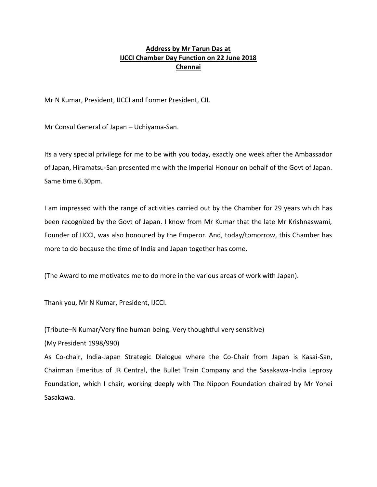# **Address by Mr Tarun Das at IJCCI Chamber Day Function on 22 June 2018 Chennai**

Mr N Kumar, President, IJCCI and Former President, CII.

Mr Consul General of Japan – Uchiyama-San.

Its a very special privilege for me to be with you today, exactly one week after the Ambassador of Japan, Hiramatsu-San presented me with the Imperial Honour on behalf of the Govt of Japan. Same time 6.30pm.

I am impressed with the range of activities carried out by the Chamber for 29 years which has been recognized by the Govt of Japan. I know from Mr Kumar that the late Mr Krishnaswami, Founder of IJCCI, was also honoured by the Emperor. And, today/tomorrow, this Chamber has more to do because the time of India and Japan together has come.

(The Award to me motivates me to do more in the various areas of work with Japan).

Thank you, Mr N Kumar, President, IJCCI.

(Tribute–N Kumar/Very fine human being. Very thoughtful very sensitive)

(My President 1998/990)

As Co-chair, India-Japan Strategic Dialogue where the Co-Chair from Japan is Kasai-San, Chairman Emeritus of JR Central, the Bullet Train Company and the Sasakawa-India Leprosy Foundation, which I chair, working deeply with The Nippon Foundation chaired by Mr Yohei Sasakawa.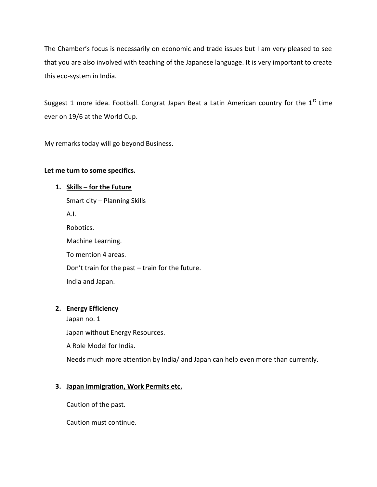The Chamber's focus is necessarily on economic and trade issues but I am very pleased to see that you are also involved with teaching of the Japanese language. It is very important to create this eco-system in India.

Suggest 1 more idea. Football. Congrat Japan Beat a Latin American country for the  $1<sup>st</sup>$  time ever on 19/6 at the World Cup.

My remarks today will go beyond Business.

## **Let me turn to some specifics.**

## **1. Skills – for the Future**

Smart city – Planning Skills A.I. Robotics. Machine Learning. To mention 4 areas. Don't train for the past – train for the future. India and Japan.

## **2. Energy Efficiency**

Japan no. 1 Japan without Energy Resources. A Role Model for India.

# Needs much more attention by India/ and Japan can help even more than currently.

# **3. Japan Immigration, Work Permits etc.**

Caution of the past.

Caution must continue.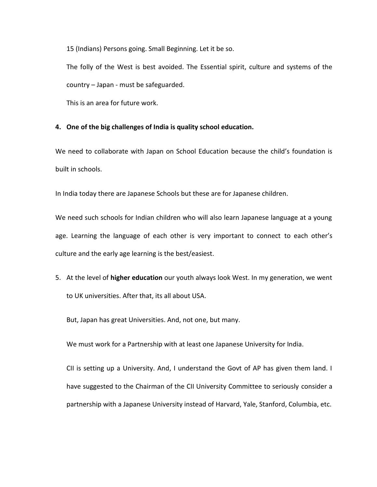15 (Indians) Persons going. Small Beginning. Let it be so.

The folly of the West is best avoided. The Essential spirit, culture and systems of the country – Japan - must be safeguarded.

This is an area for future work.

#### **4. One of the big challenges of India is quality school education.**

We need to collaborate with Japan on School Education because the child's foundation is built in schools.

In India today there are Japanese Schools but these are for Japanese children.

We need such schools for Indian children who will also learn Japanese language at a young age. Learning the language of each other is very important to connect to each other's culture and the early age learning is the best/easiest.

5. At the level of **higher education** our youth always look West. In my generation, we went to UK universities. After that, its all about USA.

But, Japan has great Universities. And, not one, but many.

We must work for a Partnership with at least one Japanese University for India.

CII is setting up a University. And, I understand the Govt of AP has given them land. I have suggested to the Chairman of the CII University Committee to seriously consider a partnership with a Japanese University instead of Harvard, Yale, Stanford, Columbia, etc.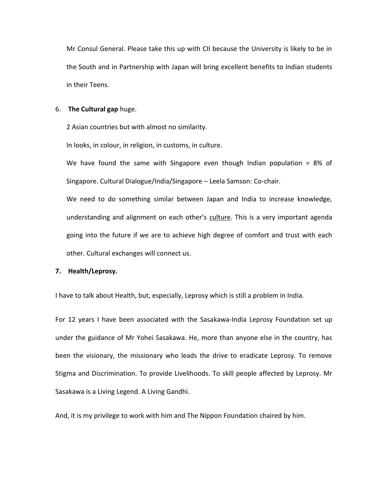Mr Consul General. Please take this up with CII because the University is likely to be in the South and in Partnership with Japan will bring excellent benefits to Indian students in their Teens.

#### 6. **The Cultural gap** huge.

2 Asian countries but with almost no similarity.

In looks, in colour, in religion, in customs, in culture.

We have found the same with Singapore even though Indian population =  $8\%$  of Singapore. Cultural Dialogue/India/Singapore – Leela Samson: Co-chair.

We need to do something similar between Japan and India to increase knowledge, understanding and alignment on each other's culture. This is a very important agenda going into the future if we are to achieve high degree of comfort and trust with each other. Cultural exchanges will connect us.

#### **7. Health/Leprosy.**

I have to talk about Health, but, especially, Leprosy which is still a problem in India.

For 12 years I have been associated with the Sasakawa-India Leprosy Foundation set up under the guidance of Mr Yohei Sasakawa. He, more than anyone else in the country, has been the visionary, the missionary who leads the drive to eradicate Leprosy. To remove Stigma and Discrimination. To provide Livelihoods. To skill people affected by Leprosy. Mr Sasakawa is a Living Legend. A Living Gandhi.

And, it is my privilege to work with him and The Nippon Foundation chaired by him.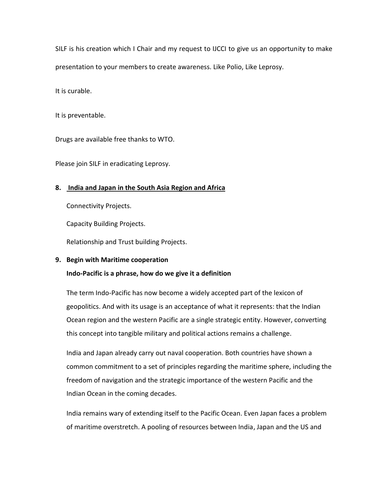SILF is his creation which I Chair and my request to IJCCI to give us an opportunity to make presentation to your members to create awareness. Like Polio, Like Leprosy.

It is curable.

It is preventable.

Drugs are available free thanks to WTO.

Please join SILF in eradicating Leprosy.

## **8. India and Japan in the South Asia Region and Africa**

Connectivity Projects.

Capacity Building Projects.

Relationship and Trust building Projects.

#### **9. Begin with Maritime cooperation**

## **Indo-Pacific is a phrase, how do we give it a definition**

The term Indo-Pacific has now become a widely accepted part of the lexicon of geopolitics. And with its usage is an acceptance of what it represents: that the Indian Ocean region and the western Pacific are a single strategic entity. However, converting this concept into tangible military and political actions remains a challenge.

India and Japan already carry out naval cooperation. Both countries have shown a common commitment to a set of principles regarding the maritime sphere, including the freedom of navigation and the strategic importance of the western Pacific and the Indian Ocean in the coming decades.

India remains wary of extending itself to the Pacific Ocean. Even Japan faces a problem of maritime overstretch. A pooling of resources between India, Japan and the US and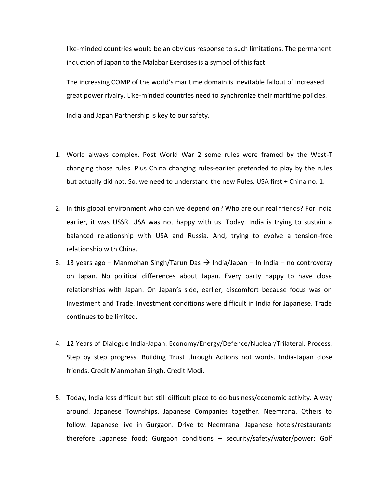like-minded countries would be an obvious response to such limitations. The permanent induction of Japan to the Malabar Exercises is a symbol of this fact.

The increasing COMP of the world's maritime domain is inevitable fallout of increased great power rivalry. Like-minded countries need to synchronize their maritime policies.

India and Japan Partnership is key to our safety.

- 1. World always complex. Post World War 2 some rules were framed by the West-T changing those rules. Plus China changing rules-earlier pretended to play by the rules but actually did not. So, we need to understand the new Rules. USA first + China no. 1.
- 2. In this global environment who can we depend on? Who are our real friends? For India earlier, it was USSR. USA was not happy with us. Today. India is trying to sustain a balanced relationship with USA and Russia. And, trying to evolve a tension-free relationship with China.
- 3. 13 years ago Manmohan Singh/Tarun Das  $\rightarrow$  India/Japan In India no controversy on Japan. No political differences about Japan. Every party happy to have close relationships with Japan. On Japan's side, earlier, discomfort because focus was on Investment and Trade. Investment conditions were difficult in India for Japanese. Trade continues to be limited.
- 4. 12 Years of Dialogue India-Japan. Economy/Energy/Defence/Nuclear/Trilateral. Process. Step by step progress. Building Trust through Actions not words. India-Japan close friends. Credit Manmohan Singh. Credit Modi.
- 5. Today, India less difficult but still difficult place to do business/economic activity. A way around. Japanese Townships. Japanese Companies together. Neemrana. Others to follow. Japanese live in Gurgaon. Drive to Neemrana. Japanese hotels/restaurants therefore Japanese food; Gurgaon conditions – security/safety/water/power; Golf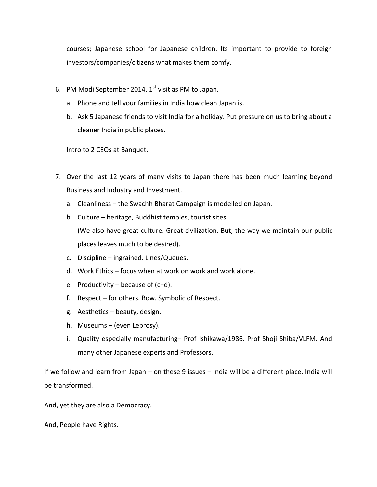courses; Japanese school for Japanese children. Its important to provide to foreign investors/companies/citizens what makes them comfy.

- 6. PM Modi September 2014.  $1<sup>st</sup>$  visit as PM to Japan.
	- a. Phone and tell your families in India how clean Japan is.
	- b. Ask 5 Japanese friends to visit India for a holiday. Put pressure on us to bring about a cleaner India in public places.

Intro to 2 CEOs at Banquet.

- 7. Over the last 12 years of many visits to Japan there has been much learning beyond Business and Industry and Investment.
	- a. Cleanliness the Swachh Bharat Campaign is modelled on Japan.
	- b. Culture heritage, Buddhist temples, tourist sites.

(We also have great culture. Great civilization. But, the way we maintain our public places leaves much to be desired).

- c. Discipline ingrained. Lines/Queues.
- d. Work Ethics focus when at work on work and work alone.
- e. Productivity because of  $(c+d)$ .
- f. Respect for others. Bow. Symbolic of Respect.
- g. Aesthetics beauty, design.
- h. Museums (even Leprosy).
- i. Quality especially manufacturing– Prof Ishikawa/1986. Prof Shoji Shiba/VLFM. And many other Japanese experts and Professors.

If we follow and learn from Japan – on these 9 issues – India will be a different place. India will be transformed.

And, yet they are also a Democracy.

And, People have Rights.